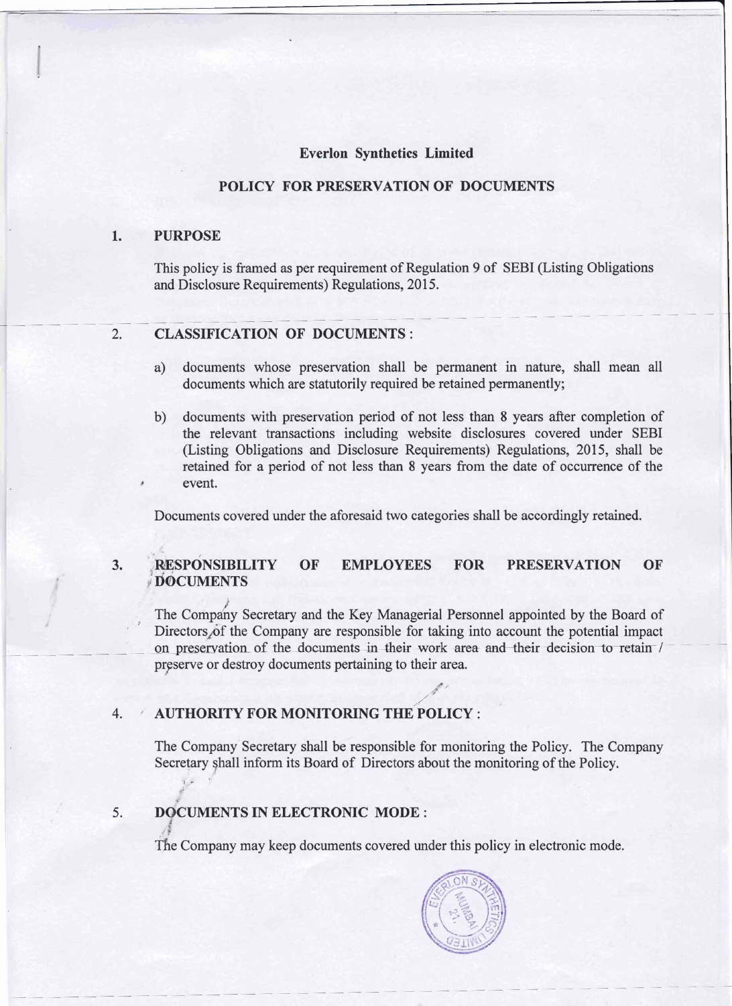#### **Everlon Synthetics Limited**

#### **POLICY FOR PRESERVATION OF DOCUMENTS**

#### **1. PURPOSE**

This policy is framed as per requirement of Regulation 9 of SEBI (Listing Obligations and Disclosure Requirements) Regulations, 2015. 1 Disclosure Requirements) Regulations, 201.

# **2. CLASSIFICATION OF DOCUMENTS** :

- **a)** documents whose preservation shall be permanent in nature, shall mean all documents which are statutorily required be retained permanently;
- b) documents with preservation period of not less than 8 years after completion of the relevant transactions including website disclosures covered under SEBI (Listing Obligations and Disclosure Requirements) Regulations, 2015, shall be retained for a period of not less than 8 years fiom the date of occurrence of the event.

Documents covered under the aforesaid two categories shall be accordingly retained.

#### $3.$ **RESPONSIBILITY** OF **EMPLOYEES FOR PRESERVATION** OF **DOCUMENTS**

The Company Secretary and the Key Managerial Personnel appointed by the Board of The Company Secretary and the Key Managerial Personnel appointed by the Board of<br>Directors of the Company are responsible for taking into account the potential impact<br>on preservation of the documents in their work area and preserve or destroy documents pertaining to their area.

#### **4.** / **AUTHORITY FOR MONITORING THEPOLICY** :

The Company' Secretary shall be responsible for monitoring the Policy. The Company Secretary shall inform its Board of Directors about the monitoring of the Policy.

**5. D CUMENTS IN ELECTRONIC MODE** :

The Company may keep documents covered under this policy in electronic mode.

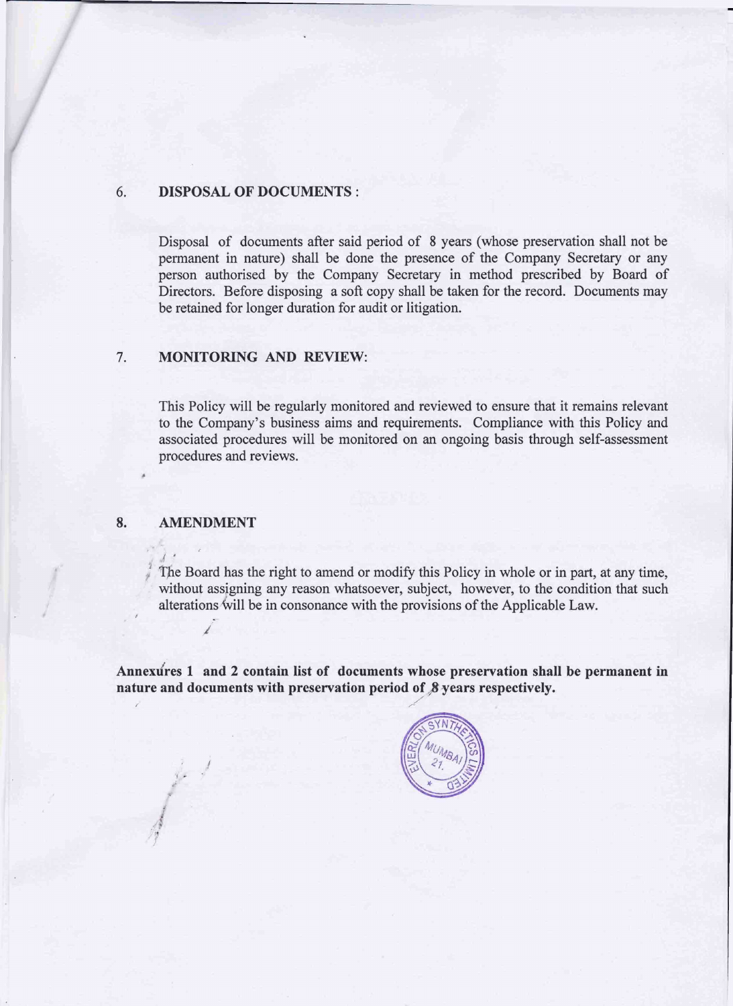#### **6. DISPOSAL OF DOCUMENTS** :

Disposal of documents after said period of 8 years (whose preservation shall not be permanent in nature) shall be done the presence of the Company Secretary or any person authorised by the Company Secretary in method prescribed by Board of Directors. Before disposing a soft copy shall be taken for the record. Documents may be retained for longer duration for audit or litigation.

#### **7. MONITORING AND REVIEW:**

This Policy will be regularly monitored and reviewed to ensure that it remains relevant to the Company's business aims and requirements. Compliance with this Policy and associated procedures will be monitored on an ongoing basis through self-assessment procedures and reviews.

#### **8. AMENDMENT**

*1'-* 

**C** 

 $\sum_{i=1}^{n}$ The Board has the right to amend or modify this Policy in whole or in part, at any time, without assigning any reason whatsoever, subject, however, to the condition that such alterations will be in consonance with the provisions of the Applicable Law.

Annexures 1 and 2 contain list of documents whose preservation shall be permanent in nature and documents with preservation period of  $\beta$  years respectively.